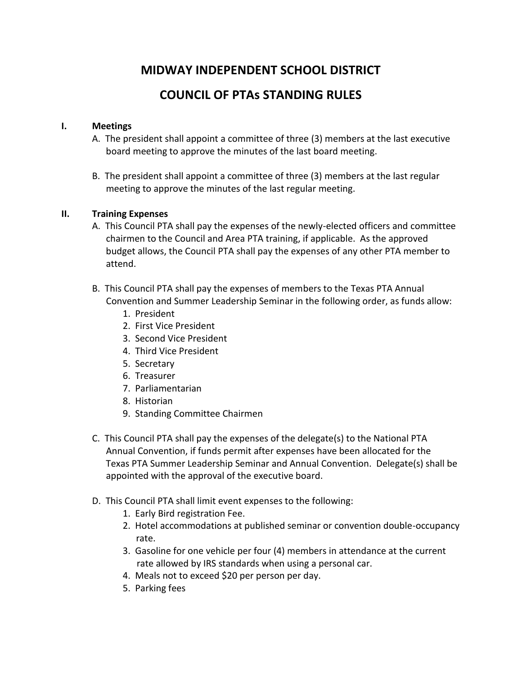## **MIDWAY INDEPENDENT SCHOOL DISTRICT**

# **COUNCIL OF PTAs STANDING RULES**

## **I. Meetings**

- A. The president shall appoint a committee of three (3) members at the last executive board meeting to approve the minutes of the last board meeting.
- B. The president shall appoint a committee of three (3) members at the last regular meeting to approve the minutes of the last regular meeting.

## **II. Training Expenses**

- A. This Council PTA shall pay the expenses of the newly-elected officers and committee chairmen to the Council and Area PTA training, if applicable. As the approved budget allows, the Council PTA shall pay the expenses of any other PTA member to attend.
- B. This Council PTA shall pay the expenses of members to the Texas PTA Annual Convention and Summer Leadership Seminar in the following order, as funds allow:
	- 1. President
	- 2. First Vice President
	- 3. Second Vice President
	- 4. Third Vice President
	- 5. Secretary
	- 6. Treasurer
	- 7. Parliamentarian
	- 8. Historian
	- 9. Standing Committee Chairmen
- C. This Council PTA shall pay the expenses of the delegate(s) to the National PTA Annual Convention, if funds permit after expenses have been allocated for the Texas PTA Summer Leadership Seminar and Annual Convention. Delegate(s) shall be appointed with the approval of the executive board.
- D. This Council PTA shall limit event expenses to the following:
	- 1. Early Bird registration Fee.
	- 2. Hotel accommodations at published seminar or convention double-occupancy rate.
	- 3. Gasoline for one vehicle per four (4) members in attendance at the current rate allowed by IRS standards when using a personal car.
	- 4. Meals not to exceed \$20 per person per day.
	- 5. Parking fees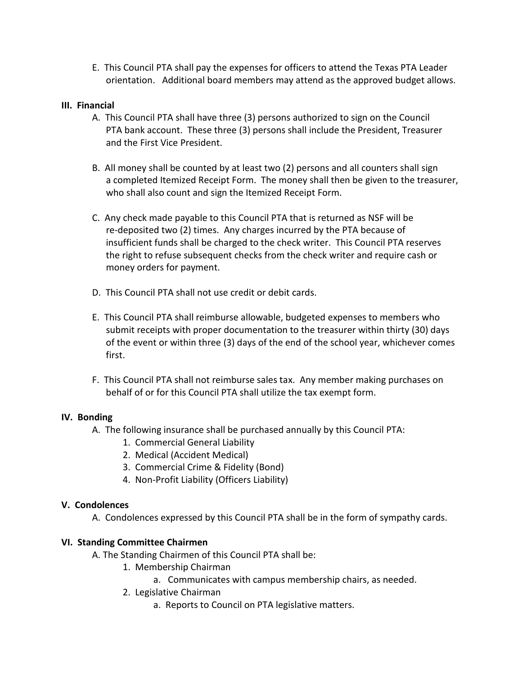E. This Council PTA shall pay the expenses for officers to attend the Texas PTA Leader orientation. Additional board members may attend as the approved budget allows.

## **III. Financial**

- A. This Council PTA shall have three (3) persons authorized to sign on the Council PTA bank account. These three (3) persons shall include the President, Treasurer and the First Vice President.
- B. All money shall be counted by at least two (2) persons and all counters shall sign a completed Itemized Receipt Form. The money shall then be given to the treasurer, who shall also count and sign the Itemized Receipt Form.
- C. Any check made payable to this Council PTA that is returned as NSF will be re-deposited two (2) times. Any charges incurred by the PTA because of insufficient funds shall be charged to the check writer. This Council PTA reserves the right to refuse subsequent checks from the check writer and require cash or money orders for payment.
- D. This Council PTA shall not use credit or debit cards.
- E. This Council PTA shall reimburse allowable, budgeted expenses to members who submit receipts with proper documentation to the treasurer within thirty (30) days of the event or within three (3) days of the end of the school year, whichever comes first.
- F. This Council PTA shall not reimburse sales tax. Any member making purchases on behalf of or for this Council PTA shall utilize the tax exempt form.

## **IV. Bonding**

- A. The following insurance shall be purchased annually by this Council PTA:
	- 1. Commercial General Liability
	- 2. Medical (Accident Medical)
	- 3. Commercial Crime & Fidelity (Bond)
	- 4. Non-Profit Liability (Officers Liability)

## **V. Condolences**

A. Condolences expressed by this Council PTA shall be in the form of sympathy cards.

## **VI. Standing Committee Chairmen**

- A. The Standing Chairmen of this Council PTA shall be:
	- 1. Membership Chairman
		- a. Communicates with campus membership chairs, as needed.
	- 2. Legislative Chairman
		- a. Reports to Council on PTA legislative matters.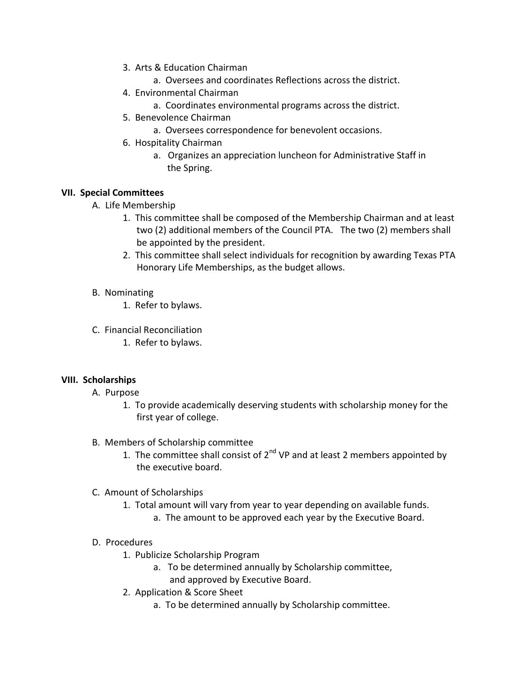- 3. Arts & Education Chairman
	- a. Oversees and coordinates Reflections across the district.
- 4. Environmental Chairman
	- a. Coordinates environmental programs across the district.
- 5. Benevolence Chairman
	- a. Oversees correspondence for benevolent occasions.
- 6. Hospitality Chairman
	- a. Organizes an appreciation luncheon for Administrative Staff in the Spring.

## **VII. Special Committees**

- A. Life Membership
	- 1. This committee shall be composed of the Membership Chairman and at least two (2) additional members of the Council PTA. The two (2) members shall be appointed by the president.
	- 2. This committee shall select individuals for recognition by awarding Texas PTA Honorary Life Memberships, as the budget allows.

## B. Nominating

- 1. Refer to bylaws.
- C. Financial Reconciliation
	- 1. Refer to bylaws.

## **VIII. Scholarships**

- A. Purpose
	- 1. To provide academically deserving students with scholarship money for the first year of college.
- B. Members of Scholarship committee
	- 1. The committee shall consist of  $2^{nd}$  VP and at least 2 members appointed by the executive board.
- C. Amount of Scholarships
	- 1. Total amount will vary from year to year depending on available funds.
		- a. The amount to be approved each year by the Executive Board.

## D. Procedures

- 1. Publicize Scholarship Program
	- a. To be determined annually by Scholarship committee, and approved by Executive Board.
- 2. Application & Score Sheet
	- a. To be determined annually by Scholarship committee.